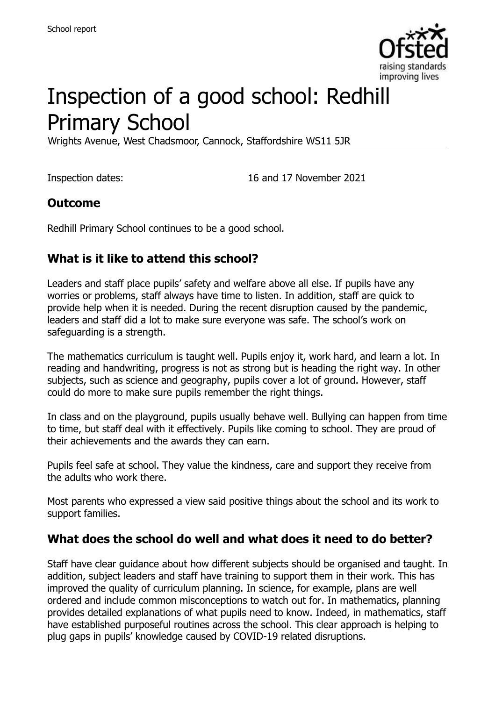

# Inspection of a good school: Redhill Primary School

Wrights Avenue, West Chadsmoor, Cannock, Staffordshire WS11 5JR

Inspection dates: 16 and 17 November 2021

#### **Outcome**

Redhill Primary School continues to be a good school.

## **What is it like to attend this school?**

Leaders and staff place pupils' safety and welfare above all else. If pupils have any worries or problems, staff always have time to listen. In addition, staff are quick to provide help when it is needed. During the recent disruption caused by the pandemic, leaders and staff did a lot to make sure everyone was safe. The school's work on safeguarding is a strength.

The mathematics curriculum is taught well. Pupils enjoy it, work hard, and learn a lot. In reading and handwriting, progress is not as strong but is heading the right way. In other subjects, such as science and geography, pupils cover a lot of ground. However, staff could do more to make sure pupils remember the right things.

In class and on the playground, pupils usually behave well. Bullying can happen from time to time, but staff deal with it effectively. Pupils like coming to school. They are proud of their achievements and the awards they can earn.

Pupils feel safe at school. They value the kindness, care and support they receive from the adults who work there.

Most parents who expressed a view said positive things about the school and its work to support families.

#### **What does the school do well and what does it need to do better?**

Staff have clear guidance about how different subjects should be organised and taught. In addition, subject leaders and staff have training to support them in their work. This has improved the quality of curriculum planning. In science, for example, plans are well ordered and include common misconceptions to watch out for. In mathematics, planning provides detailed explanations of what pupils need to know. Indeed, in mathematics, staff have established purposeful routines across the school. This clear approach is helping to plug gaps in pupils' knowledge caused by COVID-19 related disruptions.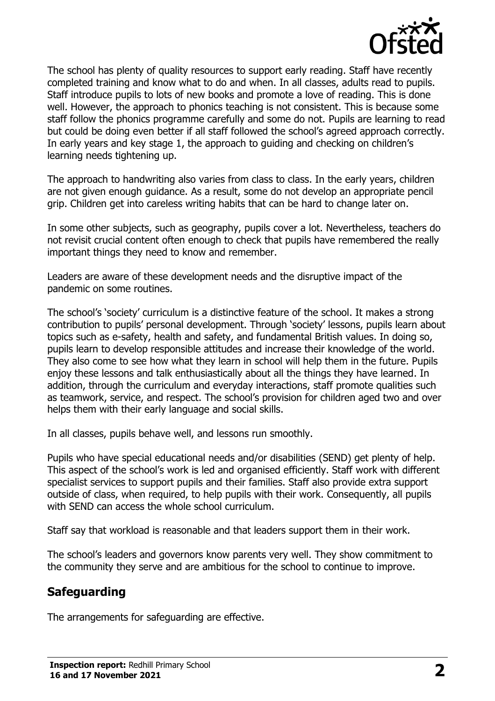

The school has plenty of quality resources to support early reading. Staff have recently completed training and know what to do and when. In all classes, adults read to pupils. Staff introduce pupils to lots of new books and promote a love of reading. This is done well. However, the approach to phonics teaching is not consistent. This is because some staff follow the phonics programme carefully and some do not. Pupils are learning to read but could be doing even better if all staff followed the school's agreed approach correctly. In early years and key stage 1, the approach to guiding and checking on children's learning needs tightening up.

The approach to handwriting also varies from class to class. In the early years, children are not given enough guidance. As a result, some do not develop an appropriate pencil grip. Children get into careless writing habits that can be hard to change later on.

In some other subjects, such as geography, pupils cover a lot. Nevertheless, teachers do not revisit crucial content often enough to check that pupils have remembered the really important things they need to know and remember.

Leaders are aware of these development needs and the disruptive impact of the pandemic on some routines.

The school's 'society' curriculum is a distinctive feature of the school. It makes a strong contribution to pupils' personal development. Through 'society' lessons, pupils learn about topics such as e-safety, health and safety, and fundamental British values. In doing so, pupils learn to develop responsible attitudes and increase their knowledge of the world. They also come to see how what they learn in school will help them in the future. Pupils enjoy these lessons and talk enthusiastically about all the things they have learned. In addition, through the curriculum and everyday interactions, staff promote qualities such as teamwork, service, and respect. The school's provision for children aged two and over helps them with their early language and social skills.

In all classes, pupils behave well, and lessons run smoothly.

Pupils who have special educational needs and/or disabilities (SEND) get plenty of help. This aspect of the school's work is led and organised efficiently. Staff work with different specialist services to support pupils and their families. Staff also provide extra support outside of class, when required, to help pupils with their work. Consequently, all pupils with SEND can access the whole school curriculum.

Staff say that workload is reasonable and that leaders support them in their work.

The school's leaders and governors know parents very well. They show commitment to the community they serve and are ambitious for the school to continue to improve.

## **Safeguarding**

The arrangements for safeguarding are effective.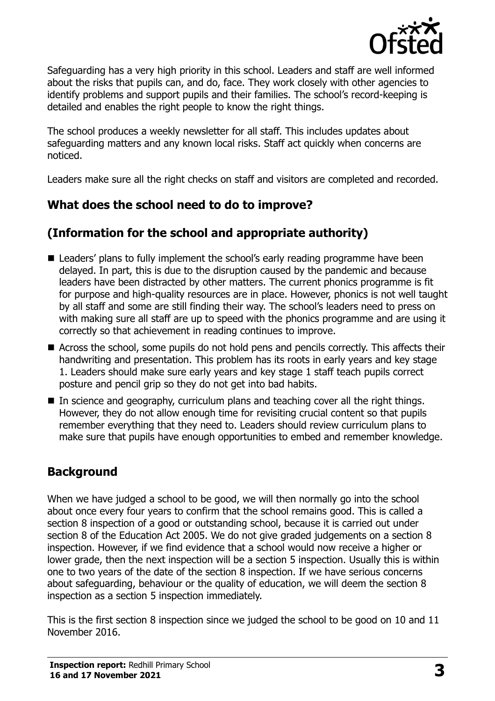

Safeguarding has a very high priority in this school. Leaders and staff are well informed about the risks that pupils can, and do, face. They work closely with other agencies to identify problems and support pupils and their families. The school's record-keeping is detailed and enables the right people to know the right things.

The school produces a weekly newsletter for all staff. This includes updates about safeguarding matters and any known local risks. Staff act quickly when concerns are noticed.

Leaders make sure all the right checks on staff and visitors are completed and recorded.

## **What does the school need to do to improve?**

## **(Information for the school and appropriate authority)**

- Leaders' plans to fully implement the school's early reading programme have been delayed. In part, this is due to the disruption caused by the pandemic and because leaders have been distracted by other matters. The current phonics programme is fit for purpose and high-quality resources are in place. However, phonics is not well taught by all staff and some are still finding their way. The school's leaders need to press on with making sure all staff are up to speed with the phonics programme and are using it correctly so that achievement in reading continues to improve.
- Across the school, some pupils do not hold pens and pencils correctly. This affects their handwriting and presentation. This problem has its roots in early years and key stage 1. Leaders should make sure early years and key stage 1 staff teach pupils correct posture and pencil grip so they do not get into bad habits.
- In science and geography, curriculum plans and teaching cover all the right things. However, they do not allow enough time for revisiting crucial content so that pupils remember everything that they need to. Leaders should review curriculum plans to make sure that pupils have enough opportunities to embed and remember knowledge.

## **Background**

When we have judged a school to be good, we will then normally go into the school about once every four years to confirm that the school remains good. This is called a section 8 inspection of a good or outstanding school, because it is carried out under section 8 of the Education Act 2005. We do not give graded judgements on a section 8 inspection. However, if we find evidence that a school would now receive a higher or lower grade, then the next inspection will be a section 5 inspection. Usually this is within one to two years of the date of the section 8 inspection. If we have serious concerns about safeguarding, behaviour or the quality of education, we will deem the section 8 inspection as a section 5 inspection immediately.

This is the first section 8 inspection since we judged the school to be good on 10 and 11 November 2016.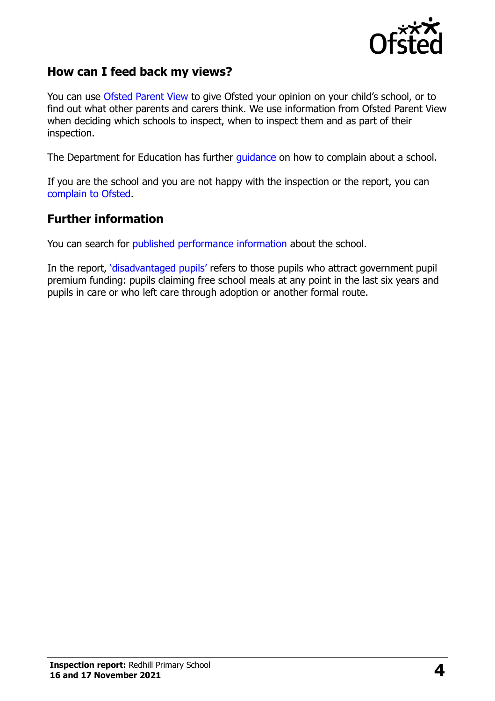

#### **How can I feed back my views?**

You can use [Ofsted Parent View](https://parentview.ofsted.gov.uk/) to give Ofsted your opinion on your child's school, or to find out what other parents and carers think. We use information from Ofsted Parent View when deciding which schools to inspect, when to inspect them and as part of their inspection.

The Department for Education has further [guidance](http://www.gov.uk/complain-about-school) on how to complain about a school.

If you are the school and you are not happy with the inspection or the report, you can [complain to Ofsted.](https://www.gov.uk/complain-ofsted-report)

#### **Further information**

You can search for [published performance information](http://www.compare-school-performance.service.gov.uk/) about the school.

In the report, '[disadvantaged pupils](http://www.gov.uk/guidance/pupil-premium-information-for-schools-and-alternative-provision-settings)' refers to those pupils who attract government pupil premium funding: pupils claiming free school meals at any point in the last six years and pupils in care or who left care through adoption or another formal route.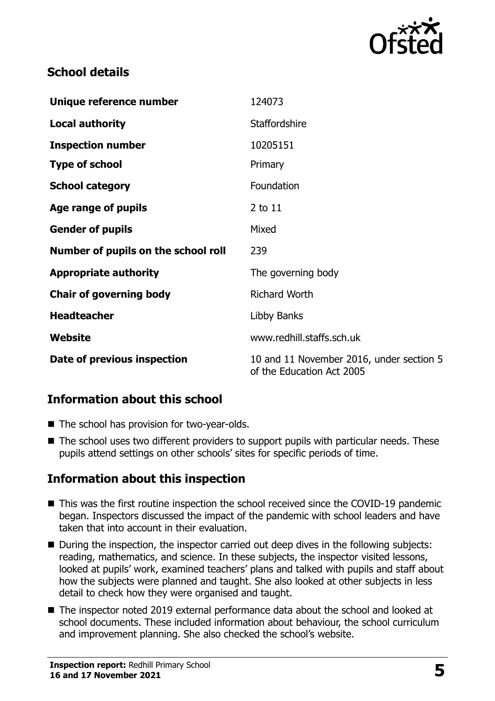

#### **School details**

| Unique reference number             | 124073                                                                |
|-------------------------------------|-----------------------------------------------------------------------|
| <b>Local authority</b>              | Staffordshire                                                         |
| <b>Inspection number</b>            | 10205151                                                              |
| <b>Type of school</b>               | Primary                                                               |
| <b>School category</b>              | Foundation                                                            |
| Age range of pupils                 | 2 to 11                                                               |
| <b>Gender of pupils</b>             | Mixed                                                                 |
| Number of pupils on the school roll | 239                                                                   |
| <b>Appropriate authority</b>        | The governing body                                                    |
| <b>Chair of governing body</b>      | <b>Richard Worth</b>                                                  |
| <b>Headteacher</b>                  | Libby Banks                                                           |
| Website                             | www.redhill.staffs.sch.uk                                             |
| Date of previous inspection         | 10 and 11 November 2016, under section 5<br>of the Education Act 2005 |

## **Information about this school**

- The school has provision for two-year-olds.
- The school uses two different providers to support pupils with particular needs. These pupils attend settings on other schools' sites for specific periods of time.

#### **Information about this inspection**

- This was the first routine inspection the school received since the COVID-19 pandemic began. Inspectors discussed the impact of the pandemic with school leaders and have taken that into account in their evaluation.
- During the inspection, the inspector carried out deep dives in the following subjects: reading, mathematics, and science. In these subjects, the inspector visited lessons, looked at pupils' work, examined teachers' plans and talked with pupils and staff about how the subjects were planned and taught. She also looked at other subjects in less detail to check how they were organised and taught.
- The inspector noted 2019 external performance data about the school and looked at school documents. These included information about behaviour, the school curriculum and improvement planning. She also checked the school's website.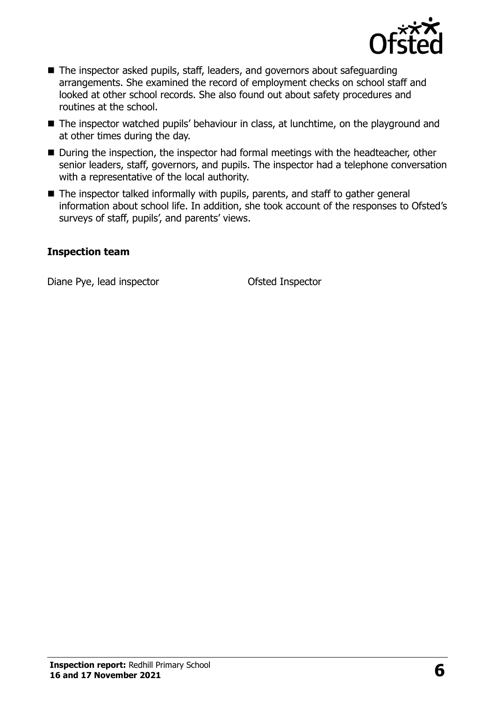

- The inspector asked pupils, staff, leaders, and governors about safeguarding arrangements. She examined the record of employment checks on school staff and looked at other school records. She also found out about safety procedures and routines at the school.
- The inspector watched pupils' behaviour in class, at lunchtime, on the playground and at other times during the day.
- During the inspection, the inspector had formal meetings with the headteacher, other senior leaders, staff, governors, and pupils. The inspector had a telephone conversation with a representative of the local authority.
- The inspector talked informally with pupils, parents, and staff to gather general information about school life. In addition, she took account of the responses to Ofsted's surveys of staff, pupils', and parents' views.

#### **Inspection team**

Diane Pye, lead inspector **Ofsted Inspector**